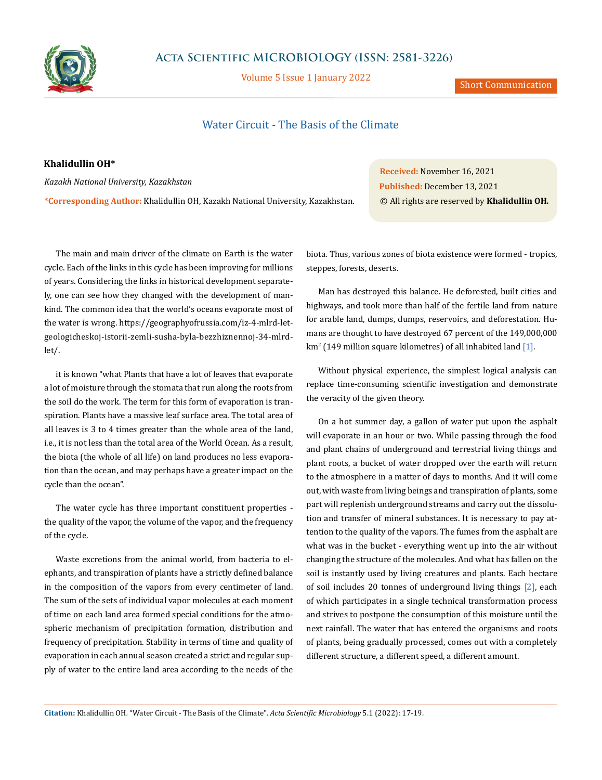

## **Acta Scientific MICROBIOLOGY (ISSN: 2581-3226)**

Volume 5 Issue 1 January 2022

# Water Circuit - The Basis of the Climate

#### **Khalidullin OH\***

*Kazakh National University, Kazakhstan*

**\*Corresponding Author:** Khalidullin OH, Kazakh National University, Kazakhstan.

**Received:** November 16, 2021 **Published:** December 13, 2021 © All rights are reserved by **Khalidullin OH***.*

The main and main driver of the climate on Earth is the water cycle. Each of the links in this cycle has been improving for millions of years. Considering the links in historical development separately, one can see how they changed with the development of mankind. The common idea that the world's oceans evaporate most of the water is wrong. https://geographyofrussia.com/iz-4-mlrd-letgeologicheskoj-istorii-zemli-susha-byla-bezzhiznennoj-34-mlrdlet/.

it is known "what Plants that have a lot of leaves that evaporate a lot of moisture through the stomata that run along the roots from the soil do the work. The term for this form of evaporation is transpiration. Plants have a massive leaf surface area. The total area of all leaves is 3 to 4 times greater than the whole area of the land, i.e., it is not less than the total area of the World Ocean. As a result, the biota (the whole of all life) on land produces no less evaporation than the ocean, and may perhaps have a greater impact on the cycle than the ocean".

The water cycle has three important constituent properties the quality of the vapor, the volume of the vapor, and the frequency of the cycle.

Waste excretions from the animal world, from bacteria to elephants, and transpiration of plants have a strictly defined balance in the composition of the vapors from every centimeter of land. The sum of the sets of individual vapor molecules at each moment of time on each land area formed special conditions for the atmospheric mechanism of precipitation formation, distribution and frequency of precipitation. Stability in terms of time and quality of evaporation in each annual season created a strict and regular supply of water to the entire land area according to the needs of the biota. Thus, various zones of biota existence were formed - tropics, steppes, forests, deserts.

Man has destroyed this balance. He deforested, built cities and highways, and took more than half of the fertile land from nature for arable land, dumps, dumps, reservoirs, and deforestation. Humans are thought to have destroyed 67 percent of the 149,000,000  $\rm km^2$  (149 million square kilometres) of all inhabited land [1].

Without physical experience, the simplest logical analysis can replace time-consuming scientific investigation and demonstrate the veracity of the given theory.

On a hot summer day, a gallon of water put upon the asphalt will evaporate in an hour or two. While passing through the food and plant chains of underground and terrestrial living things and plant roots, a bucket of water dropped over the earth will return to the atmosphere in a matter of days to months. And it will come out, with waste from living beings and transpiration of plants, some part will replenish underground streams and carry out the dissolution and transfer of mineral substances. It is necessary to pay attention to the quality of the vapors. The fumes from the asphalt are what was in the bucket - everything went up into the air without changing the structure of the molecules. And what has fallen on the soil is instantly used by living creatures and plants. Each hectare of soil includes 20 tonnes of underground living things [2], each of which participates in a single technical transformation process and strives to postpone the consumption of this moisture until the next rainfall. The water that has entered the organisms and roots of plants, being gradually processed, comes out with a completely different structure, a different speed, a different amount.

**Citation:** Khalidullin OH*.* "Water Circuit - The Basis of the Climate". *Acta Scientific Microbiology* 5.1 (2022): 17-19.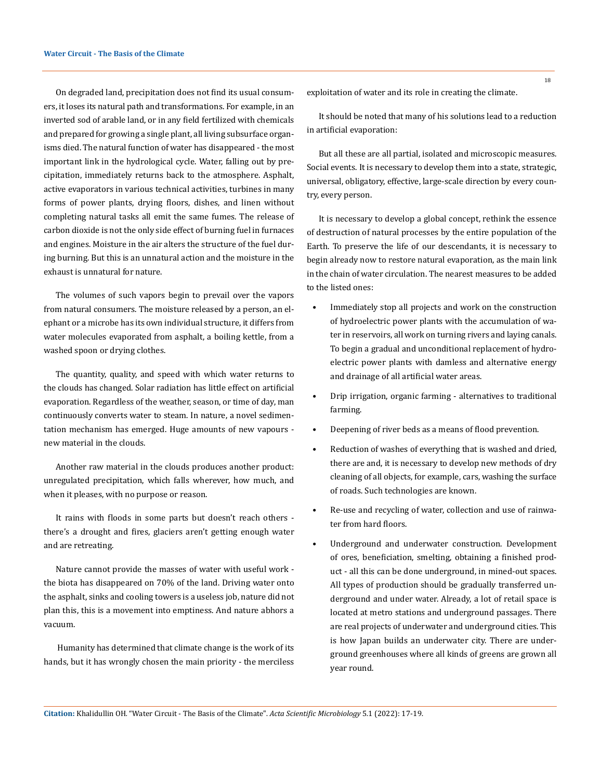On degraded land, precipitation does not find its usual consumers, it loses its natural path and transformations. For example, in an inverted sod of arable land, or in any field fertilized with chemicals and prepared for growing a single plant, all living subsurface organisms died. The natural function of water has disappeared - the most important link in the hydrological cycle. Water, falling out by precipitation, immediately returns back to the atmosphere. Asphalt, active evaporators in various technical activities, turbines in many forms of power plants, drying floors, dishes, and linen without completing natural tasks all emit the same fumes. The release of carbon dioxide is not the only side effect of burning fuel in furnaces and engines. Moisture in the air alters the structure of the fuel during burning. But this is an unnatural action and the moisture in the exhaust is unnatural for nature.

The volumes of such vapors begin to prevail over the vapors from natural consumers. The moisture released by a person, an elephant or a microbe has its own individual structure, it differs from water molecules evaporated from asphalt, a boiling kettle, from a washed spoon or drying clothes.

The quantity, quality, and speed with which water returns to the clouds has changed. Solar radiation has little effect on artificial evaporation. Regardless of the weather, season, or time of day, man continuously converts water to steam. In nature, a novel sedimentation mechanism has emerged. Huge amounts of new vapours new material in the clouds.

Another raw material in the clouds produces another product: unregulated precipitation, which falls wherever, how much, and when it pleases, with no purpose or reason.

It rains with floods in some parts but doesn't reach others there's a drought and fires, glaciers aren't getting enough water and are retreating.

Nature cannot provide the masses of water with useful work the biota has disappeared on 70% of the land. Driving water onto the asphalt, sinks and cooling towers is a useless job, nature did not plan this, this is a movement into emptiness. And nature abhors a vacuum.

 Humanity has determined that climate change is the work of its hands, but it has wrongly chosen the main priority - the merciless exploitation of water and its role in creating the climate.

It should be noted that many of his solutions lead to a reduction in artificial evaporation:

But all these are all partial, isolated and microscopic measures. Social events. It is necessary to develop them into a state, strategic, universal, obligatory, effective, large-scale direction by every country, every person.

It is necessary to develop a global concept, rethink the essence of destruction of natural processes by the entire population of the Earth. To preserve the life of our descendants, it is necessary to begin already now to restore natural evaporation, as the main link in the chain of water circulation. The nearest measures to be added to the listed ones:

- Immediately stop all projects and work on the construction of hydroelectric power plants with the accumulation of water in reservoirs, all work on turning rivers and laying canals. To begin a gradual and unconditional replacement of hydroelectric power plants with damless and alternative energy and drainage of all artificial water areas.
- Drip irrigation, organic farming alternatives to traditional farming.
- Deepening of river beds as a means of flood prevention.
- Reduction of washes of everything that is washed and dried, there are and, it is necessary to develop new methods of dry cleaning of all objects, for example, cars, washing the surface of roads. Such technologies are known.
- Re-use and recycling of water, collection and use of rainwater from hard floors.
- Underground and underwater construction. Development of ores, beneficiation, smelting, obtaining a finished product - all this can be done underground, in mined-out spaces. All types of production should be gradually transferred underground and under water. Already, a lot of retail space is located at metro stations and underground passages. There are real projects of underwater and underground cities. This is how Japan builds an underwater city. There are underground greenhouses where all kinds of greens are grown all year round.

**Citation:** Khalidullin OH*.* "Water Circuit - The Basis of the Climate". *Acta Scientific Microbiology* 5.1 (2022): 17-19.